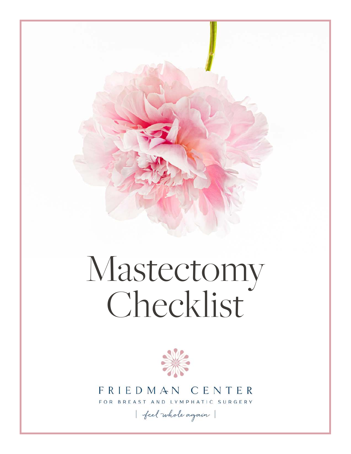

# Mastectomy Checklist



# FRIEDMAN CENTER

FOR BREAST AND LYMPHATIC SURGERY

feel whole again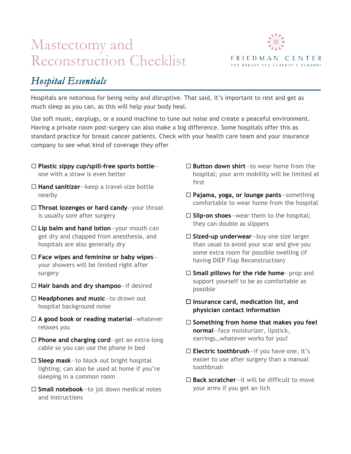# Mastectomy and Reconstruction Checklist



## *Hospital Essentials*

Hospitals are notorious for being noisy and disruptive. That said, it's important to rest and get as much sleep as you can, as this will help your body heal.

Use soft music, earplugs, or a sound machine to tune out noise and create a peaceful environment. Having a private room post-surgery can also make a big difference. Some hospitals offer this as standard practice for breast cancer patients. Check with your health care team and your insurance company to see what kind of coverage they offer

- ! **Plastic sippy cup/spill-free sports bottle** one with a straw is even better
- □ **Hand sanitizer**—keep a travel-size bottle nearby
- ! **Throat lozenges or hard candy**—your throat is usually sore after surgery
- ! **Lip balm and hand lotion**—your mouth can get dry and chapped from anesthesia, and hospitals are also generally dry
- ! **Face wipes and feminine or baby wipes** your showers will be limited right after surgery
- ! **Hair bands and dry shampoo**—if desired
- □ Headphones and music-to drown out hospital background noise
- ! **A good book or reading material**—whatever relaxes you
- □ **Phone and charging cord**—get an extra-long cable so you can use the phone in bed
- □ **Sleep mask**—to block out bright hospital lighting; can also be used at home if you're sleeping in a common room
- ! **Small notebook**—to jot down medical notes and instructions
- □ **Button down shirt**—to wear home from the hospital; your arm mobility will be limited at first
- ! **Pajama, yoga, or lounge pants**—something comfortable to wear home from the hospital
- □ Slip-on shoes-wear them to the hospital; they can double as slippers
- ! **Sized-up underwear**—buy one size larger than usual to avoid your scar and give you some extra room for possible swelling (if having DIEP Flap Reconstruction)
- □ **Small pillows for the ride home**—prop and support yourself to be as comfortable as possible
- ! **Insurance card, medication list, and physician contact information**
- □ Something from home that makes you feel **normal**—face moisturizer, lipstick, earrings…whatever works for you!
- □ **Electric toothbrush**—if you have one, it's easier to use after surgery than a manual toothbrush
- □ **Back scratcher**—it will be difficult to move your arms if you get an itch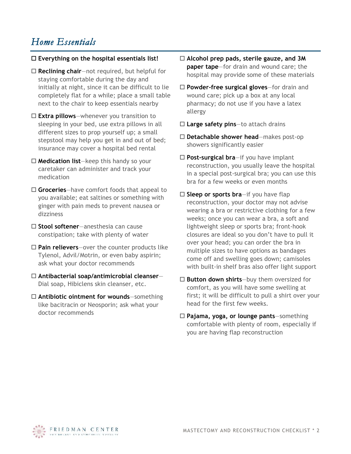### *Home Essentials*

#### ! **Everything on the hospital essentials list!**

- □ **Reclining chair**—not required, but helpful for staying comfortable during the day and initially at night, since it can be difficult to lie completely flat for a while; place a small table next to the chair to keep essentials nearby
- ! **Extra pillows**—whenever you transition to sleeping in your bed, use extra pillows in all different sizes to prop yourself up; a small stepstool may help you get in and out of bed; insurance may cover a hospital bed rental
- □ **Medication list**—keep this handy so your caretaker can administer and track your medication
- □ Groceries—have comfort foods that appeal to you available; eat saltines or something with ginger with pain meds to prevent nausea or dizziness
- ! **Stool softener**—anesthesia can cause constipation; take with plenty of water
- □ **Pain relievers**—over the counter products like Tylenol, Advil/Motrin, or even baby aspirin; ask what your doctor recommends
- ! **Antibacterial soap/antimicrobial cleanser** Dial soap, Hibiclens skin cleanser, etc.
- □ **Antibiotic ointment for wounds**—something like bacitracin or Neosporin; ask what your doctor recommends
- ! **Alcohol prep pads, sterile gauze, and 3M paper tape**—for drain and wound care; the hospital may provide some of these materials
- ! **Powder-free surgical gloves**—for drain and wound care; pick up a box at any local pharmacy; do not use if you have a latex allergy
- ! **Large safety pins**—to attach drains
- ! **Detachable shower head**—makes post-op showers significantly easier
- ! **Post-surgical bra**—if you have implant reconstruction, you usually leave the hospital in a special post-surgical bra; you can use this bra for a few weeks or even months
- □ **Sleep or sports bra**—if you have flap reconstruction, your doctor may not advise wearing a bra or restrictive clothing for a few weeks; once you can wear a bra, a soft and lightweight sleep or sports bra; front-hook closures are ideal so you don't have to pull it over your head; you can order the bra in multiple sizes to have options as bandages come off and swelling goes down; camisoles with built-in shelf bras also offer light support
- □ **Button down shirts**—buy them oversized for comfort, as you will have some swelling at first; it will be difficult to pull a shirt over your head for the first few weeks.
- ! **Pajama, yoga, or lounge pants**—something comfortable with plenty of room, especially if you are having flap reconstruction